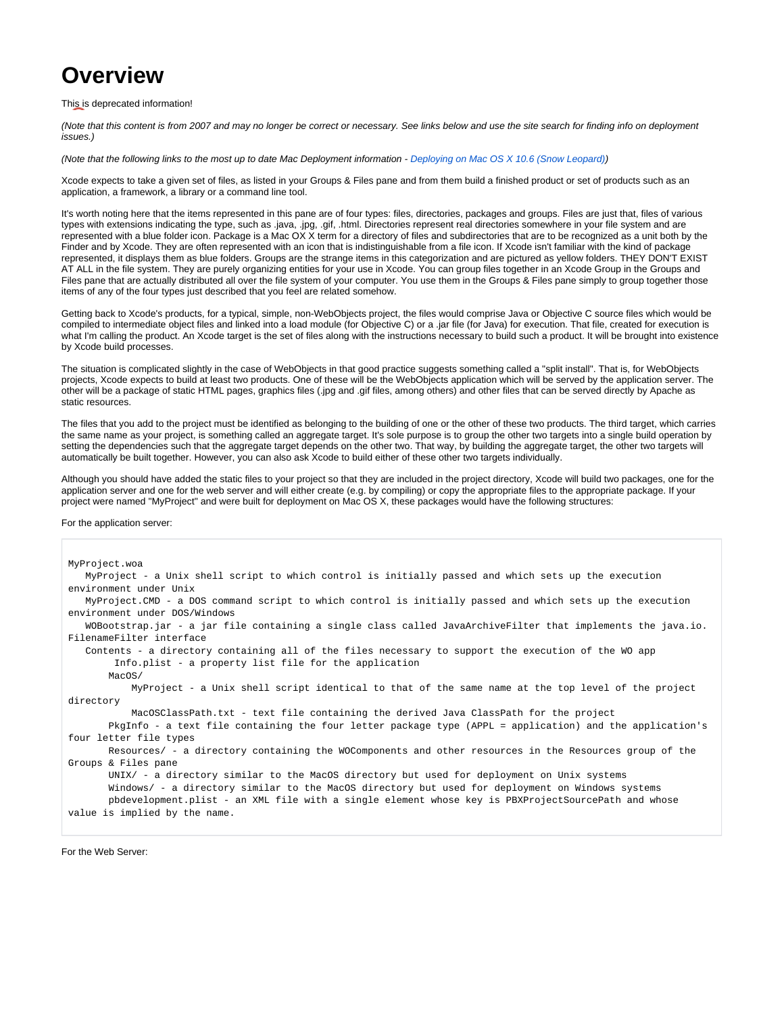## **Overview**

## This is deprecated information!

(Note that this content is from 2007 and may no longer be correct or necessary. See links below and use the site search for finding info on deployment issues.)

(Note that the following links to the most up to date Mac Deployment information - [Deploying on Mac OS X 10.6 \(Snow Leopard\)\)](https://wiki.wocommunity.org/pages/viewpage.action?pageId=1049031)

Xcode expects to take a given set of files, as listed in your Groups & Files pane and from them build a finished product or set of products such as an application, a framework, a library or a command line tool.

It's worth noting here that the items represented in this pane are of four types: files, directories, packages and groups. Files are just that, files of various types with extensions indicating the type, such as .java, .jpg, .gif, .html. Directories represent real directories somewhere in your file system and are represented with a blue folder icon. Package is a Mac OX X term for a directory of files and subdirectories that are to be recognized as a unit both by the Finder and by Xcode. They are often represented with an icon that is indistinguishable from a file icon. If Xcode isn't familiar with the kind of package represented, it displays them as blue folders. Groups are the strange items in this categorization and are pictured as yellow folders. THEY DON'T EXIST AT ALL in the file system. They are purely organizing entities for your use in Xcode. You can group files together in an Xcode Group in the Groups and Files pane that are actually distributed all over the file system of your computer. You use them in the Groups & Files pane simply to group together those items of any of the four types just described that you feel are related somehow.

Getting back to Xcode's products, for a typical, simple, non-WebObjects project, the files would comprise Java or Objective C source files which would be compiled to intermediate object files and linked into a load module (for Objective C) or a .jar file (for Java) for execution. That file, created for execution is what I'm calling the product. An Xcode target is the set of files along with the instructions necessary to build such a product. It will be brought into existence by Xcode build processes.

The situation is complicated slightly in the case of WebObjects in that good practice suggests something called a "split install". That is, for WebObjects projects, Xcode expects to build at least two products. One of these will be the WebObjects application which will be served by the application server. The other will be a package of static HTML pages, graphics files (.jpg and .gif files, among others) and other files that can be served directly by Apache as static resources.

The files that you add to the project must be identified as belonging to the building of one or the other of these two products. The third target, which carries the same name as your project, is something called an aggregate target. It's sole purpose is to group the other two targets into a single build operation by setting the dependencies such that the aggregate target depends on the other two. That way, by building the aggregate target, the other two targets will automatically be built together. However, you can also ask Xcode to build either of these other two targets individually.

Although you should have added the static files to your project so that they are included in the project directory, Xcode will build two packages, one for the application server and one for the web server and will either create (e.g. by compiling) or copy the appropriate files to the appropriate package. If your project were named "MyProject" and were built for deployment on Mac OS X, these packages would have the following structures:

For the application server:

| MyProject.woa                                                                                                |
|--------------------------------------------------------------------------------------------------------------|
| MyProject - a Unix shell script to which control is initially passed and which sets up the execution         |
| environment under Unix                                                                                       |
| MyProject.CMD - a DOS command script to which control is initially passed and which sets up the execution    |
| environment under DOS/Windows                                                                                |
| WOBootstrap.jar - a jar file containing a single class called JavaArchiveFilter that implements the java.io. |
| FilenameFilter interface                                                                                     |
| Contents - a directory containing all of the files necessary to support the execution of the WO app          |
| Info.plist - a property list file for the application                                                        |
| MacOS/                                                                                                       |
| MyProject - a Unix shell script identical to that of the same name at the top level of the project           |
| directory                                                                                                    |
| MacOSClassPath.txt - text file containing the derived Java ClassPath for the project                         |
| PkgInfo - a text file containing the four letter package type (APPL = application) and the application's     |
| four letter file types                                                                                       |
| Resources/ - a directory containing the WOComponents and other resources in the Resources group of the       |
| Groups & Files pane                                                                                          |
| UNIX/ - a directory similar to the MacOS directory but used for deployment on Unix systems                   |
| Windows/ - a directory similar to the MacOS directory but used for deployment on Windows systems             |
| pbdevelopment.plist - an XML file with a single element whose key is PBXProjectSourcePath and whose          |
| value is implied by the name.                                                                                |
|                                                                                                              |

For the Web Server: